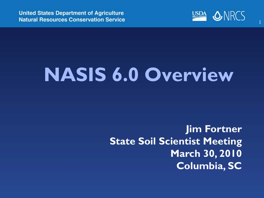**United States Department of Agriculture Natural Resources Conservation Service** 



1

# **NASIS 6.0 Overview**

#### **Jim Fortner State Soil Scientist Meeting March 30, 2010 Columbia, SC**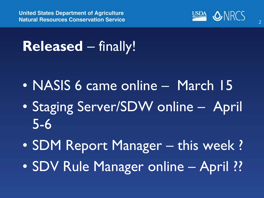

#### **Released** – finally!

- NASIS 6 came online March 15
- Staging Server/SDW online April 5-6
- SDM Report Manager this week ?
- SDV Rule Manager online April ??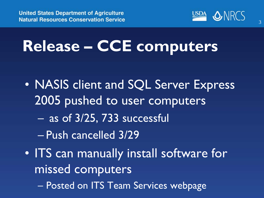

#### **Release – CCE computers**

- NASIS client and SQL Server Express 2005 pushed to user computers
	- as of 3/25, 733 successful
	- Push cancelled 3/29
- ITS can manually install software for missed computers
	- Posted on ITS Team Services webpage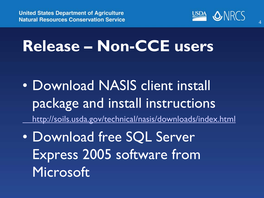

#### **Release – Non-CCE users**

- Download NASIS client install package and install instructions <http://soils.usda.gov/technical/nasis/downloads/index.html>
- Download free SQL Server Express 2005 software from Microsoft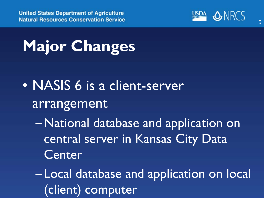**United States Department of Agriculture Natural Resources Conservation Service** 



**Major Changes**

- NASIS 6 is a client-server arrangement
	- –National database and application on central server in Kansas City Data **Center**
	- Local database and application on local (client) computer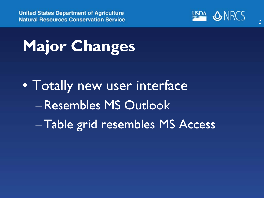

## **Major Changes**

• Totally new user interface –Resembles MS Outlook –Table grid resembles MS Access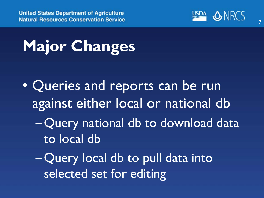

- Queries and reports can be run against either local or national db
	- –Query national db to download data to local db
	- –Query local db to pull data into selected set for editing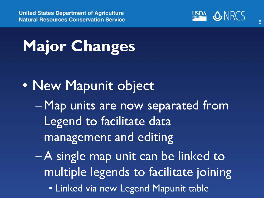

- New Mapunit object
	- –Map units are now separated from Legend to facilitate data management and editing
	- –A single map unit can be linked to multiple legends to facilitate joining
		- Linked via new Legend Mapunit table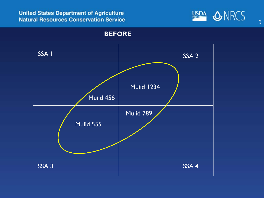**United States Department of Agriculture Natural Resources Conservation Service** 



**BEFORE**

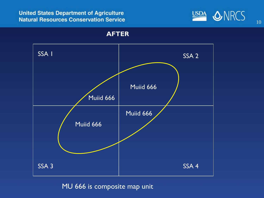**United States Department of Agriculture Natural Resources Conservation Service** 





#### MU 666 is composite map unit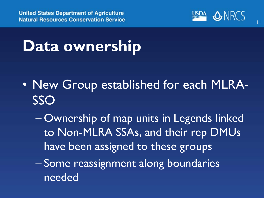

#### **Data ownership**

- New Group established for each MLRA-SSO
	- Ownership of map units in Legends linked to Non-MLRA SSAs, and their rep DMUs have been assigned to these groups
	- Some reassignment along boundaries needed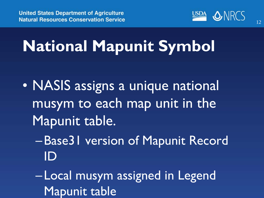

#### **National Mapunit Symbol**

- NASIS assigns a unique national musym to each map unit in the Mapunit table.
	- –Base31 version of Mapunit Record ID
	- Local musym assigned in Legend Mapunit table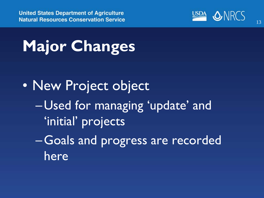

- New Project object
	- –Used for managing 'update' and 'initial' projects
	- –Goals and progress are recorded here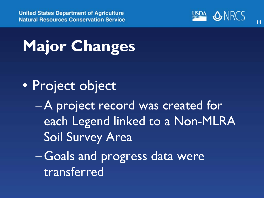

- Project object
	- –A project record was created for each Legend linked to a Non-MLRA Soil Survey Area
	- –Goals and progress data were transferred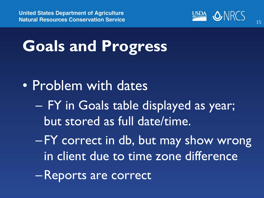

### **Goals and Progress**

- Problem with dates
	- FY in Goals table displayed as year; but stored as full date/time.
	- FY correct in db, but may show wrong in client due to time zone difference
	- –Reports are correct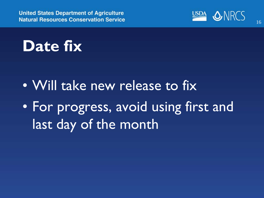

#### **Date fix**

- Will take new release to fix
- For progress, avoid using first and last day of the month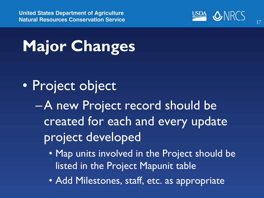

- Project object
	- –A new Project record should be created for each and every update project developed
		- Map units involved in the Project should be listed in the Project Mapunit table
		- Add Milestones, staff, etc. as appropriate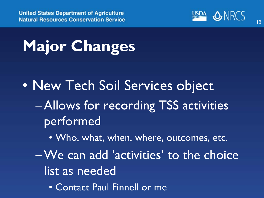

- New Tech Soil Services object
	- –Allows for recording TSS activities performed
		- Who, what, when, where, outcomes, etc.
	- –We can add 'activities' to the choice list as needed
		- Contact Paul Finnell or me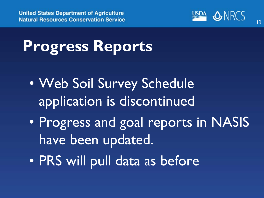

#### **Progress Reports**

- Web Soil Survey Schedule application is discontinued
- Progress and goal reports in NASIS have been updated.
- PRS will pull data as before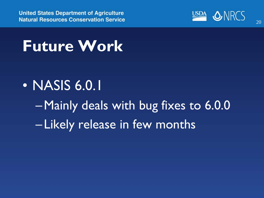**United States Department of Agriculture Natural Resources Conservation Service** 



20

#### **Future Work**

#### • NASIS 6.0.1

–Mainly deals with bug fixes to 6.0.0 – Likely release in few months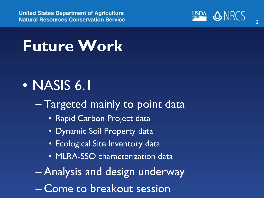

#### **Future Work**

#### • NASIS 6.1

#### – Targeted mainly to point data

- Rapid Carbon Project data
- Dynamic Soil Property data
- Ecological Site Inventory data
- MLRA-SSO characterization data
- Analysis and design underway
- Come to breakout session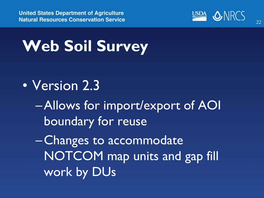

- Version 2.3
	- –Allows for import/export of AOI boundary for reuse
	- –Changes to accommodate NOTCOM map units and gap fill work by DUs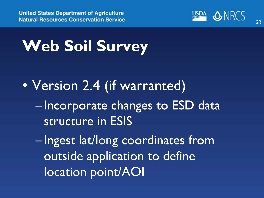

- Version 2.4 (if warranted)
	- Incorporate changes to ESD data structure in ESIS
	- Ingest lat/long coordinates from outside application to define location point/AOI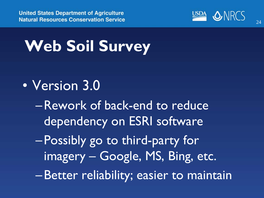

#### • Version 3.0

- –Rework of back-end to reduce dependency on ESRI software
- –Possibly go to third-party for imagery – Google, MS, Bing, etc.
- –Better reliability; easier to maintain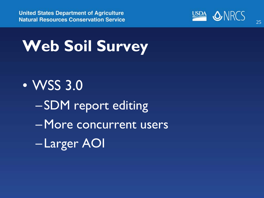

# • WSS 3.0 – SDM report editing –More concurrent users – Larger AOI